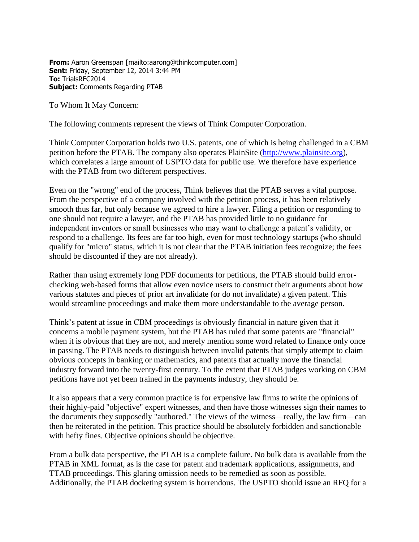**From:** Aaron Greenspan [mailto:aarong@thinkcomputer.com] **Sent:** Friday, September 12, 2014 3:44 PM **To:** TrialsRFC2014 **Subject:** Comments Regarding PTAB

To Whom It May Concern:

The following comments represent the views of Think Computer Corporation.

Think Computer Corporation holds two U.S. patents, one of which is being challenged in a CBM petition before the PTAB. The company also operates PlainSite [\(http://www.plainsite.org\)](http://www.plainsite.org/), which correlates a large amount of USPTO data for public use. We therefore have experience with the PTAB from two different perspectives.

Even on the "wrong" end of the process, Think believes that the PTAB serves a vital purpose. From the perspective of a company involved with the petition process, it has been relatively smooth thus far, but only because we agreed to hire a lawyer. Filing a petition or responding to one should not require a lawyer, and the PTAB has provided little to no guidance for independent inventors or small businesses who may want to challenge a patent's validity, or respond to a challenge. Its fees are far too high, even for most technology startups (who should qualify for "micro" status, which it is not clear that the PTAB initiation fees recognize; the fees should be discounted if they are not already).

Rather than using extremely long PDF documents for petitions, the PTAB should build errorchecking web-based forms that allow even novice users to construct their arguments about how various statutes and pieces of prior art invalidate (or do not invalidate) a given patent. This would streamline proceedings and make them more understandable to the average person.

Think's patent at issue in CBM proceedings is obviously financial in nature given that it concerns a mobile payment system, but the PTAB has ruled that some patents are "financial" when it is obvious that they are not, and merely mention some word related to finance only once in passing. The PTAB needs to distinguish between invalid patents that simply attempt to claim obvious concepts in banking or mathematics, and patents that actually move the financial industry forward into the twenty-first century. To the extent that PTAB judges working on CBM petitions have not yet been trained in the payments industry, they should be.

It also appears that a very common practice is for expensive law firms to write the opinions of their highly-paid "objective" expert witnesses, and then have those witnesses sign their names to the documents they supposedly "authored." The views of the witness—really, the law firm—can then be reiterated in the petition. This practice should be absolutely forbidden and sanctionable with hefty fines. Objective opinions should be objective.

From a bulk data perspective, the PTAB is a complete failure. No bulk data is available from the PTAB in XML format, as is the case for patent and trademark applications, assignments, and TTAB proceedings. This glaring omission needs to be remedied as soon as possible. Additionally, the PTAB docketing system is horrendous. The USPTO should issue an RFQ for a